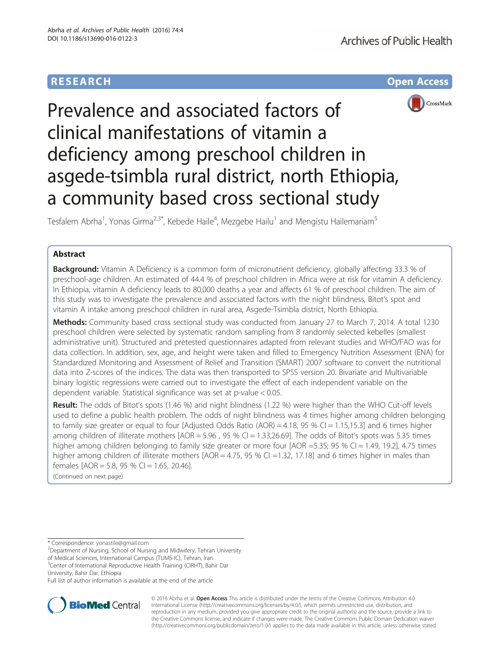# **RESEARCH CHE Open Access**



# Prevalence and associated factors of clinical manifestations of vitamin a deficiency among preschool children in asgede-tsimbla rural district, north Ethiopia, a community based cross sectional study

Tesfalem Abrha<sup>1</sup>, Yonas Girma<sup>2,3\*</sup>, Kebede Haile<sup>4</sup>, Mezgebe Hailu<sup>1</sup> and Mengistu Hailemariam<sup>5</sup>

# Abstract

**Background:** Vitamin A Deficiency is a common form of micronutrient deficiency, globally affecting 33.3 % of preschool-age children. An estimated of 44.4 % of preschool children in Africa were at risk for vitamin A deficiency. In Ethiopia, vitamin A deficiency leads to 80,000 deaths a year and affects 61 % of preschool children. The aim of this study was to investigate the prevalence and associated factors with the night blindness, Bitot's spot and vitamin A intake among preschool children in rural area, Asgede-Tsimbla district, North Ethiopia.

Methods: Community based cross sectional study was conducted from January 27 to March 7, 2014. A total 1230 preschool children were selected by systematic random sampling from 8 randomly selected kebelles (smallest administrative unit). Structured and pretested questionnaires adapted from relevant studies and WHO/FAO was for data collection. In addition, sex, age, and height were taken and filled to Emergency Nutrition Assessment (ENA) for Standardized Monitoring and Assessment of Relief and Transition (SMART) 2007 software to convert the nutritional data into Z-scores of the indices. The data was then transported to SPSS version 20. Bivariate and Multivariable binary logistic regressions were carried out to investigate the effect of each independent variable on the dependent variable. Statistical significance was set at p-value < 0.05.

Result: The odds of Bitot's spots (1.46 %) and night blindness (1.22 %) were higher than the WHO Cut-off levels used to define a public health problem. The odds of night blindness was 4 times higher among children belonging to family size greater or equal to four [Adjusted Odds Ratio (AOR) = 4.18, 95 % CI = 1.15,15.3] and 6 times higher among children of illiterate mothers [AOR = 5.96, 95 % CI = 1.33,26.69]. The odds of Bitot's spots was 5.35 times higher among children belonging to family size greater or more four [AOR =5.35; 95 % CI = 1.49, 19.2], 4.75 times higher among children of illiterate mothers  $[AOR = 4.75, 95 % C] = 1.32, 17.18]$  and 6 times higher in males than females  $[AOR = 5.8, 95 %$  Cl = 1.65, 20.46].

(Continued on next page)

\* Correspondence: [yonastile@gmail.com](mailto:yonastile@gmail.com) <sup>2</sup>

<sup>2</sup>Department of Nursing, School of Nursing and Midwifery, Tehran University

of Medical Sciences, International Campus (TUMS-IC), Tehran, Iran

<sup>3</sup>Center of International Reproductive Health Training (CIRHT), Bahir Dar

University, Bahir Dar, Ethiopia

Full list of author information is available at the end of the article



© 2016 Abrha et al. Open Access This article is distributed under the terms of the Creative Commons Attribution 4.0 International License [\(http://creativecommons.org/licenses/by/4.0/](http://creativecommons.org/licenses/by/4.0/)), which permits unrestricted use, distribution, and reproduction in any medium, provided you give appropriate credit to the original author(s) and the source, provide a link to the Creative Commons license, and indicate if changes were made. The Creative Commons Public Domain Dedication waiver [\(http://creativecommons.org/publicdomain/zero/1.0/](http://creativecommons.org/publicdomain/zero/1.0/)) applies to the data made available in this article, unless otherwise stated.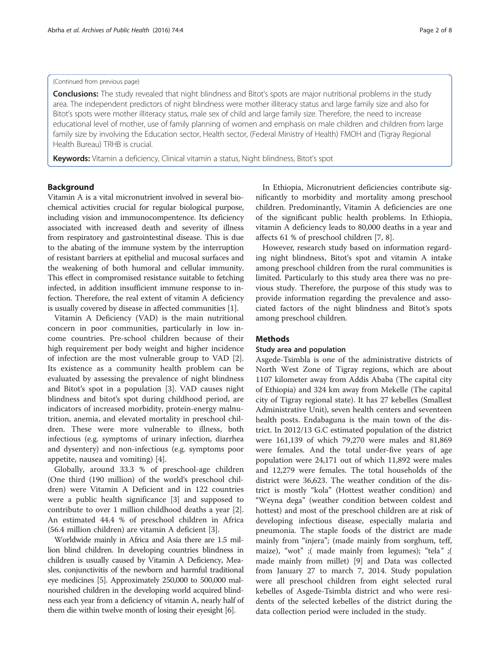#### (Continued from previous page)

Conclusions: The study revealed that night blindness and Bitot's spots are major nutritional problems in the study area. The independent predictors of night blindness were mother illiteracy status and large family size and also for Bitot's spots were mother illiteracy status, male sex of child and large family size. Therefore, the need to increase educational level of mother, use of family planning of women and emphasis on male children and children from large family size by involving the Education sector, Health sector, (Federal Ministry of Health) FMOH and (Tigray Regional Health Bureau) TRHB is crucial.

Keywords: Vitamin a deficiency, Clinical vitamin a status, Night blindness, Bitot's spot

# Background

Vitamin A is a vital micronutrient involved in several biochemical activities crucial for regular biological purpose, including vision and immunocompentence. Its deficiency associated with increased death and severity of illness from respiratory and gastrointestinal disease. This is due to the abating of the immune system by the interruption of resistant barriers at epithelial and mucosal surfaces and the weakening of both humoral and cellular immunity. This effect in compromised resistance suitable to fetching infected, in addition insufficient immune response to infection. Therefore, the real extent of vitamin A deficiency is usually covered by disease in affected communities [\[1](#page--1-0)].

Vitamin A Deficiency (VAD) is the main nutritional concern in poor communities, particularly in low income countries. Pre-school children because of their high requirement per body weight and higher incidence of infection are the most vulnerable group to VAD [\[2](#page--1-0)]. Its existence as a community health problem can be evaluated by assessing the prevalence of night blindness and Bitot's spot in a population [[3\]](#page--1-0). VAD causes night blindness and bitot's spot during childhood period, are indicators of increased morbidity, protein-energy malnutrition, anemia, and elevated mortality in preschool children. These were more vulnerable to illness, both infectious (e.g. symptoms of urinary infection, diarrhea and dysentery) and non-infectious (e.g. symptoms poor appetite, nausea and vomiting) [\[4](#page--1-0)].

Globally, around 33.3 % of preschool-age children (One third (190 million) of the world's preschool children) were Vitamin A Deficient and in 122 countries were a public health significance [\[3](#page--1-0)] and supposed to contribute to over 1 million childhood deaths a year [\[2](#page--1-0)]. An estimated 44.4 % of preschool children in Africa (56.4 million children) are vitamin A deficient [\[3](#page--1-0)].

Worldwide mainly in Africa and Asia there are 1.5 million blind children. In developing countries blindness in children is usually caused by Vitamin A Deficiency, Measles, conjunctivitis of the newborn and harmful traditional eye medicines [[5](#page--1-0)]. Approximately 250,000 to 500,000 malnourished children in the developing world acquired blindness each year from a deficiency of vitamin A, nearly half of them die within twelve month of losing their eyesight [\[6\]](#page--1-0).

In Ethiopia, Micronutrient deficiencies contribute significantly to morbidity and mortality among preschool children. Predominantly, Vitamin A deficiencies are one of the significant public health problems. In Ethiopia, vitamin A deficiency leads to 80,000 deaths in a year and affects 61 % of preschool children [\[7](#page--1-0), [8](#page--1-0)].

However, research study based on information regarding night blindness, Bitot's spot and vitamin A intake among preschool children from the rural communities is limited. Particularly to this study area there was no previous study. Therefore, the purpose of this study was to provide information regarding the prevalence and associated factors of the night blindness and Bitot's spots among preschool children.

## **Methods**

# Study area and population

Asgede-Tsimbla is one of the administrative districts of North West Zone of Tigray regions, which are about 1107 kilometer away from Addis Ababa (The capital city of Ethiopia) and 324 km away from Mekelle (The capital city of Tigray regional state). It has 27 kebelles (Smallest Administrative Unit), seven health centers and seventeen health posts. Endabaguna is the main town of the district. In 2012/13 G.C estimated population of the district were 161,139 of which 79,270 were males and 81,869 were females. And the total under-five years of age population were 24,171 out of which 11,892 were males and 12,279 were females. The total households of the district were 36,623. The weather condition of the district is mostly "kola" (Hottest weather condition) and "Weyna dega" (weather condition between coldest and hottest) and most of the preschool children are at risk of developing infectious disease, especially malaria and pneumonia. The staple foods of the district are made mainly from "injera"; (made mainly from sorghum, teff, maize), "wot" ;( made mainly from legumes); "tela" ;( made mainly from millet) [\[9](#page--1-0)] and Data was collected from January 27 to march 7, 2014. Study population were all preschool children from eight selected rural kebelles of Asgede-Tsimbla district and who were residents of the selected kebelles of the district during the data collection period were included in the study.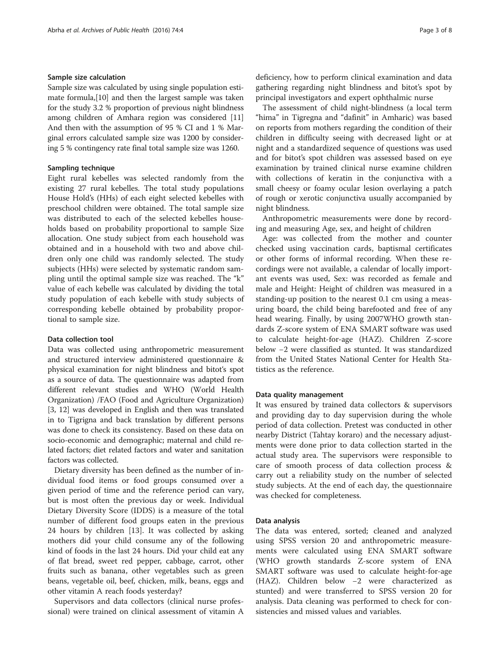#### Sample size calculation

Sample size was calculated by using single population estimate formula,[[10](#page--1-0)] and then the largest sample was taken for the study 3.2 % proportion of previous night blindness among children of Amhara region was considered [[11](#page--1-0)] And then with the assumption of 95 % CI and 1 % Marginal errors calculated sample size was 1200 by considering 5 % contingency rate final total sample size was 1260.

# Sampling technique

Eight rural kebelles was selected randomly from the existing 27 rural kebelles. The total study populations House Hold's (HHs) of each eight selected kebelles with preschool children were obtained. The total sample size was distributed to each of the selected kebelles households based on probability proportional to sample Size allocation. One study subject from each household was obtained and in a household with two and above children only one child was randomly selected. The study subjects (HHs) were selected by systematic random sampling until the optimal sample size was reached. The "k" value of each kebelle was calculated by dividing the total study population of each kebelle with study subjects of corresponding kebelle obtained by probability proportional to sample size.

# Data collection tool

Data was collected using anthropometric measurement and structured interview administered questionnaire & physical examination for night blindness and bitot's spot as a source of data. The questionnaire was adapted from different relevant studies and WHO (World Health Organization) /FAO (Food and Agriculture Organization) [[3, 12\]](#page--1-0) was developed in English and then was translated in to Tigrigna and back translation by different persons was done to check its consistency. Based on these data on socio-economic and demographic; maternal and child related factors; diet related factors and water and sanitation factors was collected.

Dietary diversity has been defined as the number of individual food items or food groups consumed over a given period of time and the reference period can vary, but is most often the previous day or week. Individual Dietary Diversity Score (IDDS) is a measure of the total number of different food groups eaten in the previous 24 hours by children [\[13](#page--1-0)]. It was collected by asking mothers did your child consume any of the following kind of foods in the last 24 hours. Did your child eat any of flat bread, sweet red pepper, cabbage, carrot, other fruits such as banana, other vegetables such as green beans, vegetable oil, beef, chicken, milk, beans, eggs and other vitamin A reach foods yesterday?

Supervisors and data collectors (clinical nurse professional) were trained on clinical assessment of vitamin A

The assessment of child night-blindness (a local term "hima" in Tigregna and "dafinit" in Amharic) was based on reports from mothers regarding the condition of their children in difficulty seeing with decreased light or at night and a standardized sequence of questions was used and for bitot's spot children was assessed based on eye examination by trained clinical nurse examine children with collections of keratin in the conjunctiva with a small cheesy or foamy ocular lesion overlaying a patch of rough or xerotic conjunctiva usually accompanied by night blindness.

Anthropometric measurements were done by recording and measuring Age, sex, and height of children

Age: was collected from the mother and counter checked using vaccination cards, baptismal certificates or other forms of informal recording. When these recordings were not available, a calendar of locally important events was used, Sex: was recorded as female and male and Height: Height of children was measured in a standing-up position to the nearest 0.1 cm using a measuring board, the child being barefooted and free of any head wearing. Finally, by using 2007WHO growth standards Z-score system of ENA SMART software was used to calculate height-for-age (HAZ). Children Z-score below −2 were classified as stunted. It was standardized from the United States National Center for Health Statistics as the reference.

#### Data quality management

It was ensured by trained data collectors & supervisors and providing day to day supervision during the whole period of data collection. Pretest was conducted in other nearby District (Tahtay koraro) and the necessary adjustments were done prior to data collection started in the actual study area. The supervisors were responsible to care of smooth process of data collection process & carry out a reliability study on the number of selected study subjects. At the end of each day, the questionnaire was checked for completeness.

#### Data analysis

The data was entered, sorted; cleaned and analyzed using SPSS version 20 and anthropometric measurements were calculated using ENA SMART software (WHO growth standards Z-score system of ENA SMART software was used to calculate height-for-age (HAZ). Children below −2 were characterized as stunted) and were transferred to SPSS version 20 for analysis. Data cleaning was performed to check for consistencies and missed values and variables.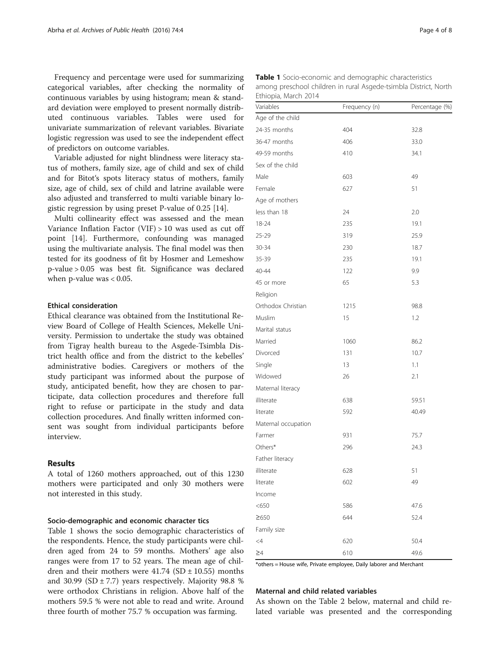Frequency and percentage were used for summarizing categorical variables, after checking the normality of continuous variables by using histogram; mean & standard deviation were employed to present normally distributed continuous variables. Tables were used for univariate summarization of relevant variables. Bivariate logistic regression was used to see the independent effect of predictors on outcome variables.

Variable adjusted for night blindness were literacy status of mothers, family size, age of child and sex of child and for Bitot's spots literacy status of mothers, family size, age of child, sex of child and latrine available were also adjusted and transferred to multi variable binary logistic regression by using preset P-value of 0.25 [\[14\]](#page--1-0).

Multi collinearity effect was assessed and the mean Variance Inflation Factor (VIF) > 10 was used as cut off point [[14](#page--1-0)]. Furthermore, confounding was managed using the multivariate analysis. The final model was then tested for its goodness of fit by Hosmer and Lemeshow p-value > 0.05 was best fit. Significance was declared when p-value was < 0.05.

# Ethical consideration

Ethical clearance was obtained from the Institutional Review Board of College of Health Sciences, Mekelle University. Permission to undertake the study was obtained from Tigray health bureau to the Asgede-Tsimbla District health office and from the district to the kebelles' administrative bodies. Caregivers or mothers of the study participant was informed about the purpose of study, anticipated benefit, how they are chosen to participate, data collection procedures and therefore full right to refuse or participate in the study and data collection procedures. And finally written informed consent was sought from individual participants before interview.

# Results

A total of 1260 mothers approached, out of this 1230 mothers were participated and only 30 mothers were not interested in this study.

#### Socio-demographic and economic character tics

Table 1 shows the socio demographic characteristics of the respondents. Hence, the study participants were children aged from 24 to 59 months. Mothers' age also ranges were from 17 to 52 years. The mean age of children and their mothers were  $41.74$  (SD  $\pm$  10.55) months and 30.99 (SD  $\pm$  7.7) years respectively. Majority 98.8 % were orthodox Christians in religion. Above half of the mothers 59.5 % were not able to read and write. Around three fourth of mother 75.7 % occupation was farming.

| <b>Table 1</b> Socio-economic and demographic characteristics    |
|------------------------------------------------------------------|
| among preschool children in rural Asgede-tsimbla District, North |
| Ethiopia, March 2014                                             |

| Variables           | Frequency (n) | Percentage (%) |
|---------------------|---------------|----------------|
| Age of the child    |               |                |
| 24-35 months        | 404           | 32.8           |
| 36-47 months        | 406           | 33.0           |
| 49-59 months        | 410           | 34.1           |
| Sex of the child    |               |                |
| Male                | 603           | 49             |
| Female              | 627           | 51             |
| Age of mothers      |               |                |
| less than 18        | 24            | 2.0            |
| 18-24               | 235           | 19.1           |
| 25-29               | 319           | 25.9           |
| 30-34               | 230           | 18.7           |
| 35-39               | 235           | 19.1           |
| 40-44               | 122           | 9.9            |
| 45 or more          | 65            | 5.3            |
| Religion            |               |                |
| Orthodox Christian  | 1215          | 98.8           |
| Muslim              | 15            | 1.2            |
| Marital status      |               |                |
| Married             | 1060          | 86.2           |
| Divorced            | 131           | 10.7           |
| Single              | 13            | 1.1            |
| Widowed             | 26            | 2.1            |
| Maternal literacy   |               |                |
| illiterate          | 638           | 59.51          |
| literate            | 592           | 40.49          |
| Maternal occupation |               |                |
| Farmer              | 931           | 75.7           |
| Others*             | 296           | 24.3           |
| Father literacy     |               |                |
| illiterate          | 628           | 51             |
| literate            | 602           | 49             |
| Income              |               |                |
| < 650               | 586           | 47.6           |
| ≥650                | 644           | 52.4           |
| Family size         |               |                |
| $\leq$ 4            | 620           | 50.4           |
| $\geq 4$            | 610           | 49.6           |

\*others = House wife, Private employee, Daily laborer and Merchant

#### Maternal and child related variables

As shown on the Table [2](#page-4-0) below, maternal and child related variable was presented and the corresponding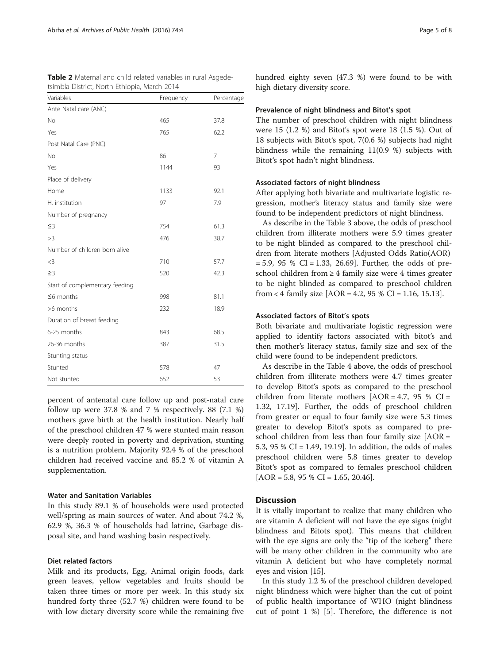| tsimbla District, North Ethiopia, March 2014 |           |            |  |
|----------------------------------------------|-----------|------------|--|
| Variables                                    | Frequency | Percentage |  |
| Ante Natal care (ANC)                        |           |            |  |
| No                                           | 465       | 37.8       |  |
| Yes                                          | 765       | 62.2       |  |
| Post Natal Care (PNC)                        |           |            |  |
| <b>No</b>                                    | 86        | 7          |  |
| Yes                                          | 1144      | 93         |  |
| Place of delivery                            |           |            |  |
| Home                                         | 1133      | 92.1       |  |
| H. institution                               | 97        | 7.9        |  |
| Number of pregnancy                          |           |            |  |
| $\leq$ 3                                     | 754       | 61.3       |  |
| >3                                           | 476       | 38.7       |  |
| Number of children born alive                |           |            |  |
| $<$ 3                                        | 710       | 57.7       |  |
| $\geq$ 3                                     | 520       | 42.3       |  |
| Start of complementary feeding               |           |            |  |
| $\leq$ 6 months                              | 998       | 81.1       |  |
| >6 months                                    | 232       | 18.9       |  |
| Duration of breast feeding                   |           |            |  |
| 6-25 months                                  | 843       | 68.5       |  |
| 26-36 months                                 | 387       | 31.5       |  |
| Stunting status                              |           |            |  |
| Stunted                                      | 578       | 47         |  |
| Not stunted                                  | 652       | 53         |  |

<span id="page-4-0"></span>Table 2 Maternal and child related variables in rural Asgede-

| percent of antenatal care follow up and post-natal care   |
|-----------------------------------------------------------|
| follow up were 37.8 % and 7 % respectively. 88 $(7.1 \%)$ |
| mothers gave birth at the health institution. Nearly half |
| of the preschool children 47 % were stunted main reason   |
| were deeply rooted in poverty and deprivation, stunting   |
| is a nutrition problem. Majority 92.4 % of the preschool  |
| children had received vaccine and 85.2 % of vitamin A     |
| supplementation.                                          |

# Water and Sanitation Variables

In this study 89.1 % of households were used protected well/spring as main sources of water. And about 74.2 %, 62.9 %, 36.3 % of households had latrine, Garbage disposal site, and hand washing basin respectively.

#### Diet related factors

Milk and its products, Egg, Animal origin foods, dark green leaves, yellow vegetables and fruits should be taken three times or more per week. In this study six hundred forty three (52.7 %) children were found to be with low dietary diversity score while the remaining five hundred eighty seven (47.3 %) were found to be with high dietary diversity score.

#### Prevalence of night blindness and Bitot's spot

The number of preschool children with night blindness were 15 (1.2 %) and Bitot's spot were 18 (1.5 %). Out of 18 subjects with Bitot's spot, 7(0.6 %) subjects had night blindness while the remaining 11(0.9 %) subjects with Bitot's spot hadn't night blindness.

#### Associated factors of night blindness

After applying both bivariate and multivariate logistic regression, mother's literacy status and family size were found to be independent predictors of night blindness.

As describe in the Table [3](#page-5-0) above, the odds of preschool children from illiterate mothers were 5.9 times greater to be night blinded as compared to the preschool children from literate mothers [Adjusted Odds Ratio(AOR)  $= 5.9, 95 % CI = 1.33, 26.69$ . Further, the odds of preschool children from ≥ 4 family size were 4 times greater to be night blinded as compared to preschool children from < 4 family size  $[AOR = 4.2, 95 % CI = 1.16, 15.13]$ .

#### Associated factors of Bitot's spots

Both bivariate and multivariate logistic regression were applied to identify factors associated with bitot's and then mother's literacy status, family size and sex of the child were found to be independent predictors.

As describe in the Table [4](#page-5-0) above, the odds of preschool children from illiterate mothers were 4.7 times greater to develop Bitot's spots as compared to the preschool children from literate mothers  $[AOR = 4.7, 95 %$  CI = 1.32, 17.19]. Further, the odds of preschool children from greater or equal to four family size were 5.3 times greater to develop Bitot's spots as compared to preschool children from less than four family size [AOR = 5.3, 95 % CI = 1.49, 19.19]. In addition, the odds of males preschool children were 5.8 times greater to develop Bitot's spot as compared to females preschool children  $[AOR = 5.8, 95 % CI = 1.65, 20.46].$ 

#### **Discussion**

It is vitally important to realize that many children who are vitamin A deficient will not have the eye signs (night blindness and Bitots spot). This means that children with the eye signs are only the "tip of the iceberg" there will be many other children in the community who are vitamin A deficient but who have completely normal eyes and vision [[15](#page--1-0)].

In this study 1.2 % of the preschool children developed night blindness which were higher than the cut of point of public health importance of WHO (night blindness cut of point 1 %) [[5\]](#page--1-0). Therefore, the difference is not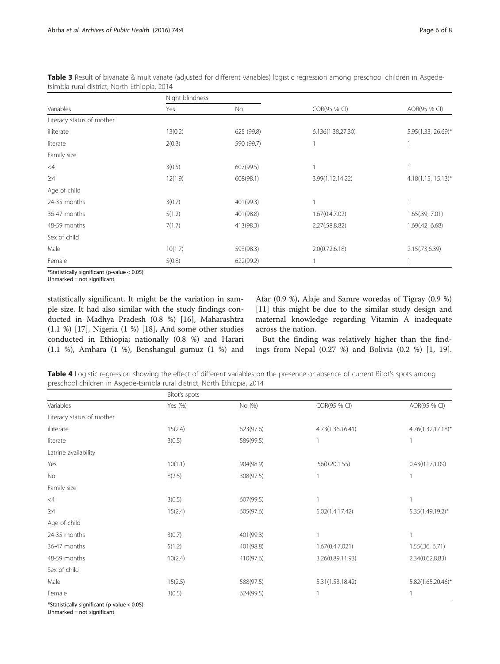|                           | Night blindness |            |                   |                         |
|---------------------------|-----------------|------------|-------------------|-------------------------|
| Variables                 | Yes             | No         | COR(95 % CI)      | AOR(95 % CI)            |
| Literacy status of mother |                 |            |                   |                         |
| illiterate                | 13(0.2)         | 625 (99.8) | 6.136(1.38,27.30) | 5.95(1.33, 26.69)*      |
| literate                  | 2(0.3)          | 590 (99.7) |                   |                         |
| Family size               |                 |            |                   |                         |
| $\leq 4$                  | 3(0.5)          | 607(99.5)  |                   |                         |
| $\geq 4$                  | 12(1.9)         | 608(98.1)  | 3.99(1.12,14.22)  | $4.18(1.15, 15.13)^{*}$ |
| Age of child              |                 |            |                   |                         |
| 24-35 months              | 3(0.7)          | 401(99.3)  |                   |                         |
| 36-47 months              | 5(1.2)          | 401(98.8)  | 1.67(0.4, 7.02)   | 1.65(.39, 7.01)         |
| 48-59 months              | 7(1.7)          | 413(98.3)  | 2.27(.58,8.82)    | 1.69(.42, 6.68)         |
| Sex of child              |                 |            |                   |                         |
| Male                      | 10(1.7)         | 593(98.3)  | 2.0(0.72, 6.18)   | 2.15(.73,6.39)          |
| Female                    | 5(0.8)          | 622(99.2)  |                   |                         |

<span id="page-5-0"></span>Table 3 Result of bivariate & multivariate (adjusted for different variables) logistic regression among preschool children in Asgedetsimbla rural district, North Ethiopia, 2014

\*Statistically significant (p-value < 0.05)

Unmarked = not significant

statistically significant. It might be the variation in sample size. It had also similar with the study findings conducted in Madhya Pradesh (0.8 %) [\[16](#page--1-0)], Maharashtra (1.1 %) [\[17\]](#page--1-0), Nigeria (1 %) [\[18](#page--1-0)], And some other studies conducted in Ethiopia; nationally (0.8 %) and Harari (1.1 %), Amhara (1 %), Benshangul gumuz (1 %) and Afar (0.9 %), Alaje and Samre woredas of Tigray (0.9 %) [[11\]](#page--1-0) this might be due to the similar study design and maternal knowledge regarding Vitamin A inadequate across the nation.

But the finding was relatively higher than the findings from Nepal (0.27 %) and Bolivia (0.2 %) [\[1](#page--1-0), [19](#page--1-0)].

| Table 4 Logistic regression showing the effect of different variables on the presence or absence of current Bitot's spots among |  |  |
|---------------------------------------------------------------------------------------------------------------------------------|--|--|
| preschool children in Asgede-tsimbla rural district, North Ethiopia, 2014                                                       |  |  |

|                           | Bitot's spots |           |                  |                   |
|---------------------------|---------------|-----------|------------------|-------------------|
| Variables                 | Yes (%)       | No (%)    | COR(95 % CI)     | AOR(95 % CI)      |
| Literacy status of mother |               |           |                  |                   |
| illiterate                | 15(2.4)       | 623(97.6) | 4.73(1.36,16.41) | 4.76(1.32,17.18)* |
| literate                  | 3(0.5)        | 589(99.5) |                  |                   |
| Latrine availability      |               |           |                  |                   |
| Yes                       | 10(1.1)       | 904(98.9) | .56(0.20, 1.55)  | 0.43(0.17, 1.09)  |
| <b>No</b>                 | 8(2.5)        | 308(97.5) |                  |                   |
| Family size               |               |           |                  |                   |
| $\leq 4$                  | 3(0.5)        | 607(99.5) |                  |                   |
| $\geq 4$                  | 15(2.4)       | 605(97.6) | 5.02(1.4, 17.42) | 5.35(1.49,19.2)*  |
| Age of child              |               |           |                  |                   |
| 24-35 months              | 3(0.7)        | 401(99.3) |                  | 1                 |
| 36-47 months              | 5(1.2)        | 401(98.8) | 1.67(0.4,7.021)  | 1.55(.36, 6.71)   |
| 48-59 months              | 10(2.4)       | 410(97.6) | 3.26(0.89,11.93) | 2.34(0.62,8.83)   |
| Sex of child              |               |           |                  |                   |
| Male                      | 15(2.5)       | 588(97.5) | 5.31(1.53,18.42) | 5.82(1.65,20.46)* |
| Female                    | 3(0.5)        | 624(99.5) |                  |                   |

\*Statistically significant (p-value < 0.05)

Unmarked = not significant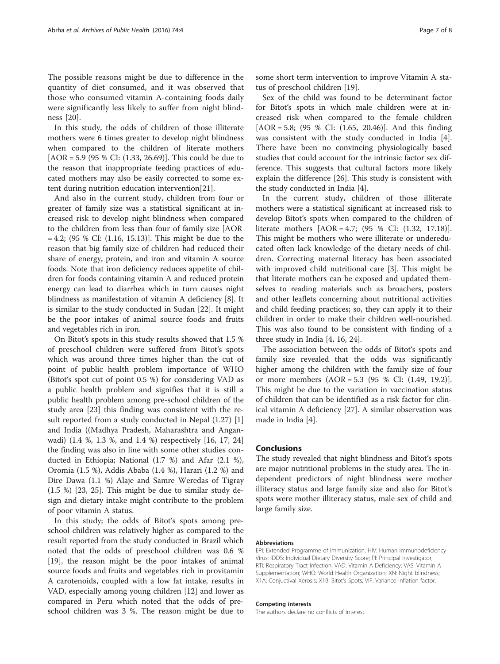The possible reasons might be due to difference in the quantity of diet consumed, and it was observed that those who consumed vitamin A-containing foods daily were significantly less likely to suffer from night blindness [[20](#page--1-0)].

In this study, the odds of children of those illiterate mothers were 6 times greater to develop night blindness when compared to the children of literate mothers [AOR = 5.9 (95 % CI: (1.33, 26.69)]. This could be due to the reason that inappropriate feeding practices of educated mothers may also be easily corrected to some extent during nutrition education intervention[\[21\]](#page--1-0).

And also in the current study, children from four or greater of family size was a statistical significant at increased risk to develop night blindness when compared to the children from less than four of family size [AOR  $= 4.2$ ; (95 % CI: (1.16, 15.13)]. This might be due to the reason that big family size of children had reduced their share of energy, protein, and iron and vitamin A source foods. Note that iron deficiency reduces appetite of children for foods containing vitamin A and reduced protein energy can lead to diarrhea which in turn causes night blindness as manifestation of vitamin A deficiency [[8\]](#page--1-0). It is similar to the study conducted in Sudan [[22](#page--1-0)]. It might be the poor intakes of animal source foods and fruits and vegetables rich in iron.

On Bitot's spots in this study results showed that 1.5 % of preschool children were suffered from Bitot's spots which was around three times higher than the cut of point of public health problem importance of WHO (Bitot's spot cut of point 0.5 %) for considering VAD as a public health problem and signifies that it is still a public health problem among pre-school children of the study area [[23\]](#page--1-0) this finding was consistent with the result reported from a study conducted in Nepal (1.27) [\[1](#page--1-0)] and India ((Madhya Pradesh, Maharashtra and Anganwadi) (1.4 %, 1.3 %, and 1.4 %) respectively [[16, 17, 24](#page--1-0)] the finding was also in line with some other studies conducted in Ethiopia; National (1.7 %) and Afar (2.1 %), Oromia (1.5 %), Addis Ababa (1.4 %), Harari (1.2 %) and Dire Dawa (1.1 %) Alaje and Samre Weredas of Tigray (1.5 %) [\[23](#page--1-0), [25\]](#page--1-0). This might be due to similar study design and dietary intake might contribute to the problem of poor vitamin A status.

In this study; the odds of Bitot's spots among preschool children was relatively higher as compared to the result reported from the study conducted in Brazil which noted that the odds of preschool children was 0.6 % [[19\]](#page--1-0), the reason might be the poor intakes of animal source foods and fruits and vegetables rich in provitamin A carotenoids, coupled with a low fat intake, results in VAD, especially among young children [\[12](#page--1-0)] and lower as compared in Peru which noted that the odds of preschool children was 3 %. The reason might be due to

some short term intervention to improve Vitamin A status of preschool children [[19\]](#page--1-0).

Sex of the child was found to be determinant factor for Bitot's spots in which male children were at increased risk when compared to the female children  $[AOR = 5.8; (95 % CI: (1.65, 20.46)].$  And this finding was consistent with the study conducted in India [\[4](#page--1-0)]. There have been no convincing physiologically based studies that could account for the intrinsic factor sex difference. This suggests that cultural factors more likely explain the difference [[26\]](#page--1-0). This study is consistent with the study conducted in India [[4\]](#page--1-0).

In the current study, children of those illiterate mothers were a statistical significant at increased risk to develop Bitot's spots when compared to the children of literate mothers [AOR = 4.7; (95 % CI: (1.32, 17.18)]. This might be mothers who were illiterate or undereducated often lack knowledge of the dietary needs of children. Correcting maternal literacy has been associated with improved child nutritional care [[3\]](#page--1-0). This might be that literate mothers can be exposed and updated themselves to reading materials such as broachers, posters and other leaflets concerning about nutritional activities and child feeding practices; so, they can apply it to their children in order to make their children well-nourished. This was also found to be consistent with finding of a three study in India [\[4](#page--1-0), [16](#page--1-0), [24](#page--1-0)].

The association between the odds of Bitot's spots and family size revealed that the odds was significantly higher among the children with the family size of four or more members (AOR = 5.3 (95 % CI: (1.49, 19.2)]. This might be due to the variation in vaccination status of children that can be identified as a risk factor for clinical vitamin A deficiency [\[27\]](#page--1-0). A similar observation was made in India [[4\]](#page--1-0).

# Conclusions

The study revealed that night blindness and Bitot's spots are major nutritional problems in the study area. The independent predictors of night blindness were mother illiteracy status and large family size and also for Bitot's spots were mother illiteracy status, male sex of child and large family size.

#### Abbreviations

EPI: Extended Programme of Immunization; HIV: Human Immunodeficiency Virus; IDDS: Individual Dietary Diversity Score; PI: Principal Investigator; RTI: Respiratory Tract Infection; VAD: Vitamin A Deficiency; VAS: Vitamin A Supplementation; WHO: World Health Organization; XN: Night blindness; X1A: Conjuctival Xerosis; X1B: Bitot's Spots; VIF: Variance inflation factor.

#### Competing interests

The authors declare no conflicts of interest.